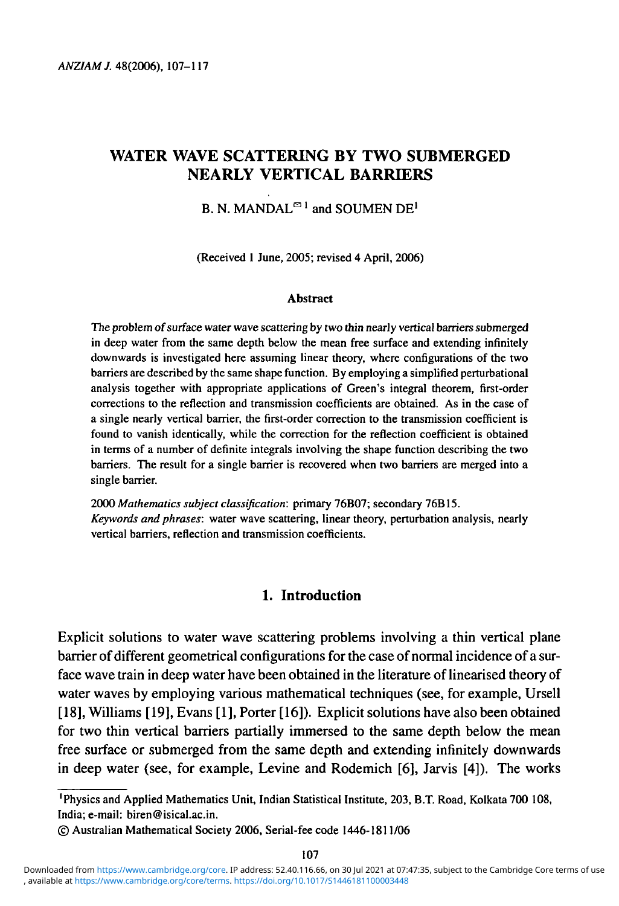# **WATER WAVE SCATTERING BY TWO SUBMERGED NEARLY VERTICAL BARRIERS**

# B. N. MANDAL<sup> $\Xi$ 1</sup> and SOUMEN DE<sup>1</sup>

(Received 1 June, 2005; revised 4 April, 2006)

#### **Abstract**

The problem of surface water wave scattering by two thin nearly vertical barriers submerged in deep water from the same depth below the mean free surface and extending infinitely downwards is investigated here assuming linear theory, where configurations of the two barriers are described by the same shape function. By employing a simplified perturbational analysis together with appropriate applications of Green's integral theorem, first-order corrections to the reflection and transmission coefficients are obtained. As in the case of a single nearly vertical barrier, the first-order correction to the transmission coefficient is found to vanish identically, while the correction for the reflection coefficient is obtained in terms of a number of definite integrals involving the shape function describing the two barriers. The result for a single barrier is recovered when two barriers are merged into a single barrier.

2000 *Mathematics subject classification:* primary 76B07; secondary 76B15. *Keywords and phrases:* water wave scattering, linear theory, perturbation analysis, nearly vertical barriers, reflection and transmission coefficients.

## **1. Introduction**

Explicit solutions to water wave scattering problems involving a thin vertical plane barrier of different geometrical configurations for the case of normal incidence of a surface wave train in deep water have been obtained in the literature of linearised theory of water waves by employing various mathematical techniques (see, for example, Ursell [18], Williams [19], Evans [1], Porter [16]). Explicit solutions have also been obtained for two thin vertical barriers partially immersed to the same depth below the mean free surface or submerged from the same depth and extending infinitely downwards in deep water (see, for example, Levine and Rodemich [6], Jarvis [4]). The works

<sup>&#</sup>x27;Physics and Applied Mathematics Unit, Indian Statistical Institute, 203, B.T. Road, Kolkata 700 108, India; e-mail: biren@isical.ac.in.

<sup>©</sup> Australian Mathematical Society 2006, Serial-fee code 1446-1811/06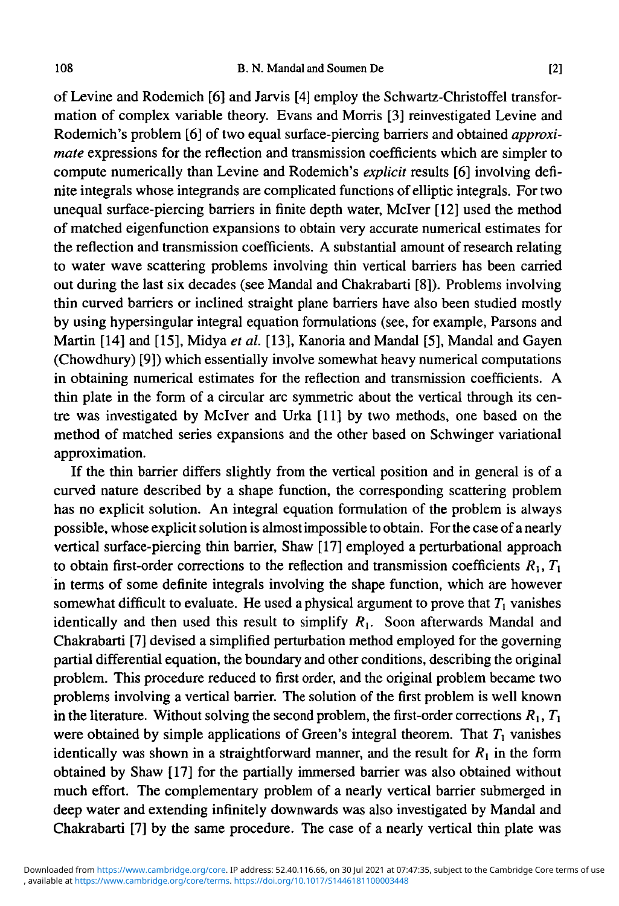of Levine and Rodemich [6] and Jarvis [4] employ the Schwartz-Christoffel transformation of complex variable theory. Evans and Morris [3] reinvestigated Levine and Rodemich's problem [6] of two equal surface-piercing barriers and obtained *approximate* expressions for the reflection and transmission coefficients which are simpler to compute numerically than Levine and Rodemich's *explicit* results [6] involving definite integrals whose integrands are complicated functions of elliptic integrals. For two unequal surface-piercing barriers in finite depth water, Mclver [12] used the method of matched eigenfunction expansions to obtain very accurate numerical estimates for the reflection and transmission coefficients. A substantial amount of research relating to water wave scattering problems involving thin vertical barriers has been carried out during the last six decades (see Mandal and Chakrabarti [8]). Problems involving thin curved barriers or inclined straight plane barriers have also been studied mostly by using hypersingular integral equation formulations (see, for example, Parsons and Martin [14] and [15], Midya *et al.* [13], Kanoria and Mandal [5], Mandal and Gayen (Chowdhury) [9]) which essentially involve somewhat heavy numerical computations in obtaining numerical estimates for the reflection and transmission coefficients. A thin plate in the form of a circular arc symmetric about the vertical through its centre was investigated by Mclver and Urka [11] by two methods, one based on the method of matched series expansions and the other based on Schwinger variational approximation.

If the thin barrier differs slightly from the vertical position and in general is of a curved nature described by a shape function, the corresponding scattering problem has no explicit solution. An integral equation formulation of the problem is always possible, whose explicit solution is almost impossible to obtain. For the case of a nearly vertical surface-piercing thin barrier, Shaw [17] employed a perturbational approach to obtain first-order corrections to the reflection and transmission coefficients  $R_1, T_1$ in terms of some definite integrals involving the shape function, which are however somewhat difficult to evaluate. He used a physical argument to prove that  $T_1$  vanishes identically and then used this result to simplify  $R_1$ . Soon afterwards Mandal and Chakrabarti [7] devised a simplified perturbation method employed for the governing partial differential equation, the boundary and other conditions, describing the original problem. This procedure reduced to first order, and the original problem became two problems involving a vertical barrier. The solution of the first problem is well known in the literature. Without solving the second problem, the first-order corrections  $R_1, T_1$ were obtained by simple applications of Green's integral theorem. That  $T_1$  vanishes identically was shown in a straightforward manner, and the result for  $R_1$  in the form obtained by Shaw [17] for the partially immersed barrier was also obtained without much effort. The complementary problem of a nearly vertical barrier submerged in deep water and extending infinitely downwards was also investigated by Mandal and Chakrabarti [7] by the same procedure. The case of a nearly vertical thin plate was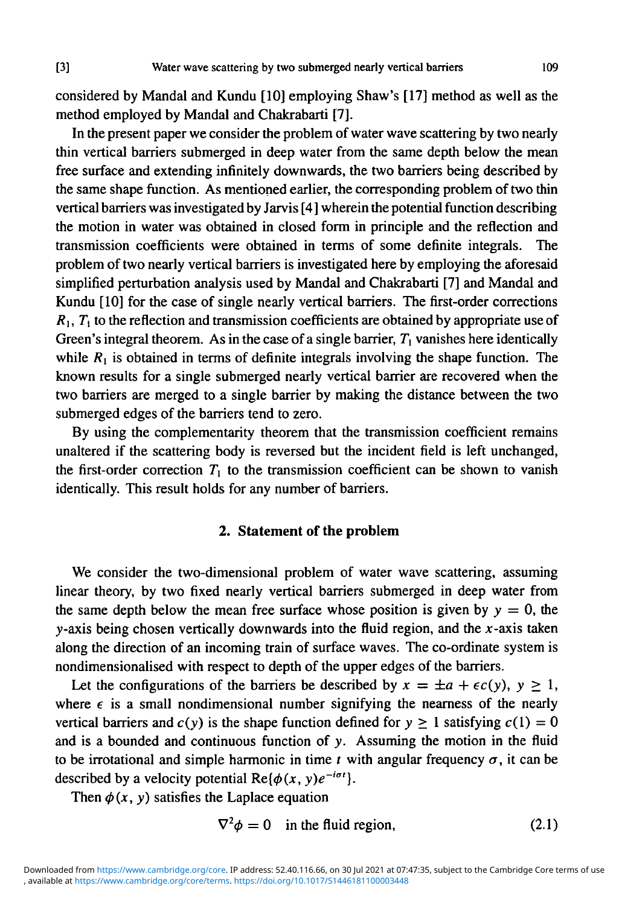considered by Mandal and Kundu [10] employing Shaw's [17] method as well as the method employed by Mandal and Chakrabarti [7].

In the present paper we consider the problem of water wave scattering by two nearly thin vertical barriers submerged in deep water from the same depth below the mean free surface and extending infinitely downwards, the two barriers being described by the same shape function. As mentioned earlier, the corresponding problem of two thin vertical barriers was investigated by Jarvis [4] wherein the potential function describing the motion in water was obtained in closed form in principle and the reflection and transmission coefficients were obtained in terms of some definite integrals. The problem of two nearly vertical barriers is investigated here by employing the aforesaid simplified perturbation analysis used by Mandal and Chakrabarti [7] and Mandal and Kundu [10] for the case of single nearly vertical barriers. The first-order corrections  $R_1, T_1$  to the reflection and transmission coefficients are obtained by appropriate use of Green's integral theorem. As in the case of a single barrier,  $T_1$  vanishes here identically while  $R_1$  is obtained in terms of definite integrals involving the shape function. The known results for a single submerged nearly vertical barrier are recovered when the two barriers are merged to a single barrier by making the distance between the two submerged edges of the barriers tend to zero.

By using the complementarity theorem that the transmission coefficient remains unaltered if the scattering body is reversed but the incident field is left unchanged, the first-order correction  $T_1$  to the transmission coefficient can be shown to vanish identically. This result holds for any number of barriers.

### **2. Statement of the problem**

We consider the two-dimensional problem of water wave scattering, assuming linear theory, by two fixed nearly vertical barriers submerged in deep water from the same depth below the mean free surface whose position is given by  $y = 0$ , the y-axis being chosen vertically downwards into the fluid region, and the  $x$ -axis taken along the direction of an incoming train of surface waves. The co-ordinate system is nondimensionalised with respect to depth of the upper edges of the barriers.

Let the configurations of the barriers be described by  $x = \pm a + \epsilon c(y)$ ,  $y \ge 1$ , where  $\epsilon$  is a small nondimensional number signifying the nearness of the nearly vertical barriers and  $c(y)$  is the shape function defined for  $y \ge 1$  satisfying  $c(1) = 0$ and is a bounded and continuous function of y. Assuming the motion in the fluid to be irrotational and simple harmonic in time *t* with angular frequency  $\sigma$ , it can be described by a velocity potential  $Re{\phi(x, y)e^{-i\sigma t}}$ .

Then  $\phi(x, y)$  satisfies the Laplace equation

$$
\nabla^2 \phi = 0 \quad \text{in the fluid region,} \tag{2.1}
$$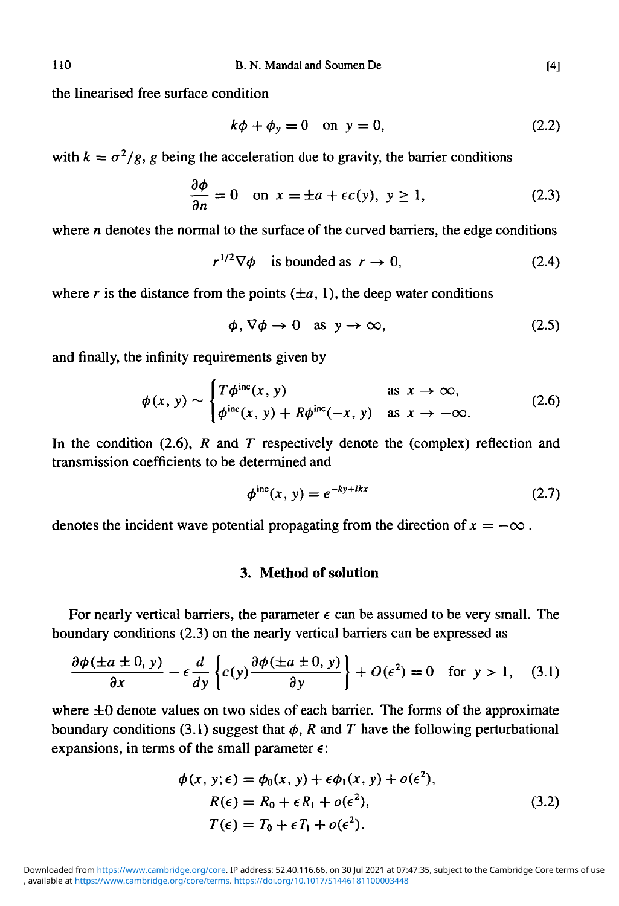the linearised free surface condition

$$
k\phi + \phi_y = 0 \quad \text{on } y = 0,\tag{2.2}
$$

with  $k = \sigma^2/g$ , g being the acceleration due to gravity, the barrier conditions

$$
\frac{\partial \phi}{\partial n} = 0 \quad \text{on } x = \pm a + \epsilon c(y), \ y \ge 1,
$$
 (2.3)

where *n* denotes the normal to the surface of the curved barriers, the edge conditions

$$
r^{1/2}\nabla\phi \quad \text{is bounded as } r \to 0,
$$
 (2.4)

where *r* is the distance from the points (±a, 1), the deep water conditions

$$
\phi, \nabla \phi \to 0 \quad \text{as } y \to \infty,
$$
\n(2.5)

and finally, the infinity requirements given by

$$
\phi(x, y) \sim \begin{cases} T\phi^{\text{inc}}(x, y) & \text{as } x \to \infty, \\ \phi^{\text{inc}}(x, y) + R\phi^{\text{inc}}(-x, y) & \text{as } x \to -\infty. \end{cases}
$$
 (2.6)

In the condition (2.6),  $R$  and  $T$  respectively denote the (complex) reflection and transmission coefficients to be determined and

$$
\phi^{\text{inc}}(x, y) = e^{-ky + ikx} \tag{2.7}
$$

denotes the incident wave potential propagating from the direction of  $x = -\infty$ .

## **3. Method of solution**

For nearly vertical barriers, the parameter  $\epsilon$  can be assumed to be very small. The boundary conditions (2.3) on the nearly vertical barriers can be expressed as

$$
\frac{\partial \phi(\pm a \pm 0, y)}{\partial x} - \epsilon \frac{d}{dy} \left\{ c(y) \frac{\partial \phi(\pm a \pm 0, y)}{\partial y} \right\} + O(\epsilon^2) = 0 \quad \text{for } y > 1, \quad (3.1)
$$

where  $\pm 0$  denote values on two sides of each barrier. The forms of the approximate boundary conditions (3.1) suggest that  $\phi$ , R and T have the following perturbational expansions, in terms of the small parameter *e:*

$$
\phi(x, y; \epsilon) = \phi_0(x, y) + \epsilon \phi_1(x, y) + o(\epsilon^2),
$$
  
\n
$$
R(\epsilon) = R_0 + \epsilon R_1 + o(\epsilon^2),
$$
  
\n
$$
T(\epsilon) = T_0 + \epsilon T_1 + o(\epsilon^2).
$$
\n(3.2)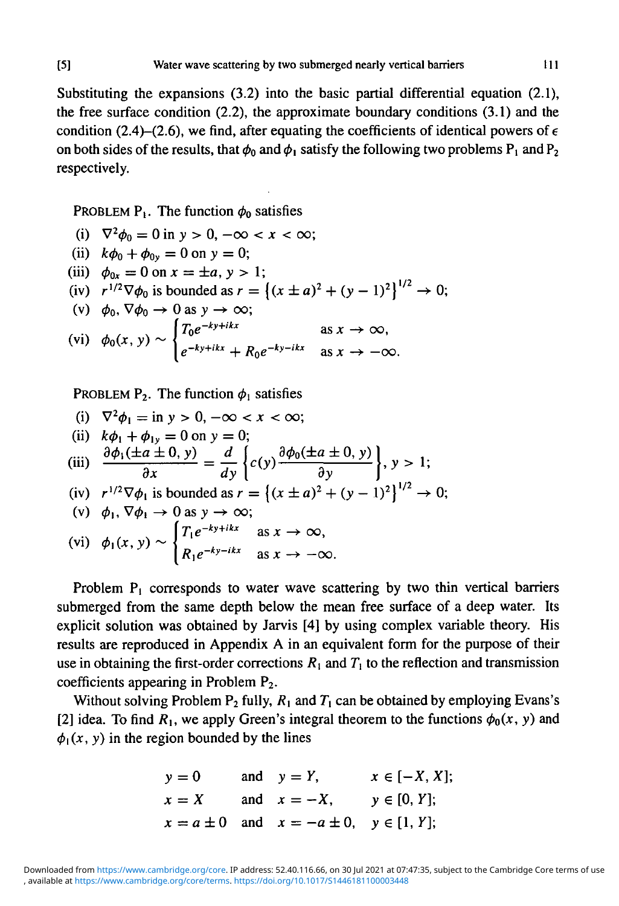Substituting the expansions (3.2) into the basic partial differential equation (2.1), the free surface condition (2.2), the approximate boundary conditions (3.1) and the condition (2.4)–(2.6), we find, after equating the coefficients of identical powers of  $\epsilon$ on both sides of the results, that  $\phi_0$  and  $\phi_1$  satisfy the following two problems  $P_1$  and  $P_2$ respectively.

PROBLEM  $P_1$ . The function  $\phi_0$  satisfies

(i) 
$$
\nabla^2 \phi_0 = 0
$$
 in  $y > 0$ ,  $-\infty < x < \infty$ ; \n(ii)  $k\phi_0 + \phi_{0y} = 0$  on  $y = 0$ ; \n(iii)  $\phi_{0x} = 0$  on  $x = \pm a$ ,  $y > 1$ ; \n(iv)  $r^{1/2} \nabla \phi_0$  is bounded as  $r = \left\{ (x \pm a)^2 + (y - 1)^2 \right\}^{1/2} \rightarrow$  \n(v)  $\phi_0, \nabla \phi_0 \rightarrow 0$  as  $y \rightarrow \infty$ ; \n(vi)  $\phi_0(x, y) \sim \begin{cases} T_0 e^{-ky + ikx} & \text{as } x \rightarrow \infty, \\ e^{-ky + ikx} + R_0 e^{-ky - ikx} & \text{as } x \rightarrow -\infty. \end{cases}$ 

PROBLEM  $P_2$ . The function  $\phi_1$  satisfies

|<br>|<br>|

(i) 
$$
\nabla^2 \phi_1 = \text{in } y > 0, -\infty < x < \infty;
$$
  
\n(ii)  $k\phi_1 + \phi_1 = 0$  on  $y = 0;$   
\n(iii)  $\frac{\partial \phi_1(\pm a \pm 0, y)}{\partial x} = \frac{d}{dy} \left\{ c(y) \frac{\partial \phi_0(\pm a \pm 0, y)}{\partial y} \right\}, y > 1;$   
\n(iv)  $r^{1/2} \nabla \phi_1$  is bounded as  $r = \left\{ (x \pm a)^2 + (y - 1)^2 \right\}^{1/2} \rightarrow$   
\n(v)  $\phi_1, \nabla \phi_1 \rightarrow 0$  as  $y \rightarrow \infty;$   
\n(vi)  $\phi_1(x, y) \sim \begin{cases} T_1 e^{-ky + ikx} & \text{as } x \rightarrow \infty, \\ R_1 e^{-ky - ikx} & \text{as } x \rightarrow -\infty. \end{cases}$ 

Problem  $P_1$  corresponds to water wave scattering by two thin vertical barriers submerged from the same depth below the mean free surface of a deep water. Its explicit solution was obtained by Jarvis [4] by using complex variable theory. His results are reproduced in Appendix A in an equivalent form for the purpose of their use in obtaining the first-order corrections  $R_1$  and  $T_1$  to the reflection and transmission coefficients appearing in Problem P2.

Without solving Problem  $P_2$  fully,  $R_1$  and  $T_1$  can be obtained by employing Evans's [2] idea. To find  $R_1$ , we apply Green's integral theorem to the functions  $\phi_0(x, y)$  and  $\phi_1(x, y)$  in the region bounded by the lines

$$
y = 0
$$
 and  $y = Y$ ,  $x \in [-X, X];$   
\n $x = X$  and  $x = -X$ ,  $y \in [0, Y];$   
\n $x = a \pm 0$  and  $x = -a \pm 0$ ,  $y \in [1, Y];$ 

 $0:$ 

 $0:$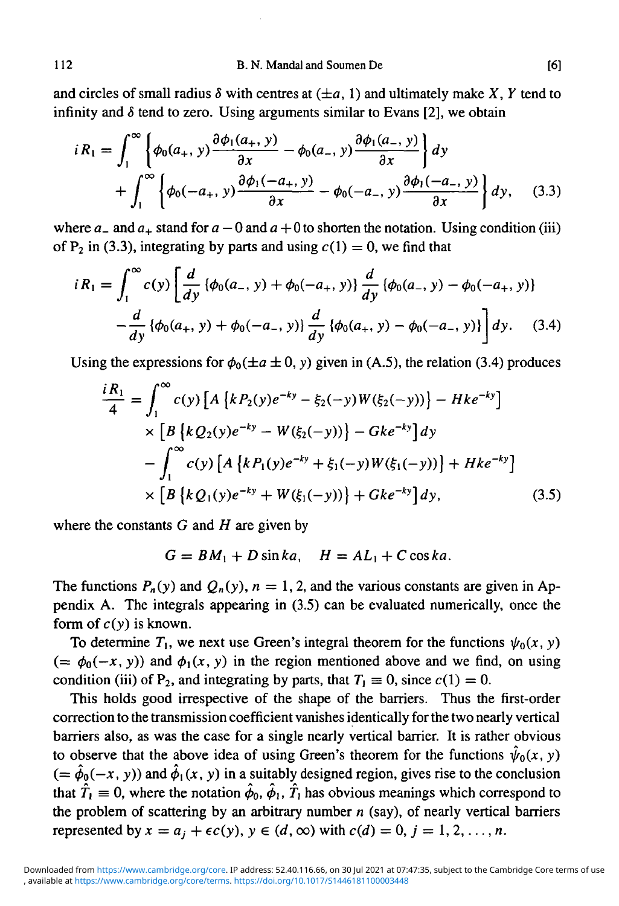and circles of small radius  $\delta$  with centres at  $(\pm a, 1)$  and ultimately make X, Y tend to infinity and  $\delta$  tend to zero. Using arguments similar to Evans [2], we obtain

$$
iR_1 = \int_1^{\infty} \left\{ \phi_0(a_+, y) \frac{\partial \phi_1(a_+, y)}{\partial x} - \phi_0(a_-, y) \frac{\partial \phi_1(a_-, y)}{\partial x} \right\} dy
$$
  
+ 
$$
\int_1^{\infty} \left\{ \phi_0(-a_+, y) \frac{\partial \phi_1(-a_+, y)}{\partial x} - \phi_0(-a_-, y) \frac{\partial \phi_1(-a_-, y)}{\partial x} \right\} dy, \quad (3.3)
$$

where  $a_$  and  $a_+$  stand for  $a - 0$  and  $a + 0$  to shorten the notation. Using condition (iii) of P<sub>2</sub> in (3.3), integrating by parts and using  $c(1) = 0$ , we find that

$$
iR_1 = \int_1^{\infty} c(y) \left[ \frac{d}{dy} \left\{ \phi_0(a_-, y) + \phi_0(-a_+, y) \right\} \frac{d}{dy} \left\{ \phi_0(a_-, y) - \phi_0(-a_+, y) \right\} - \frac{d}{dy} \left\{ \phi_0(a_+, y) + \phi_0(-a_-, y) \right\} \frac{d}{dy} \left\{ \phi_0(a_+, y) - \phi_0(-a_-, y) \right\} \right] dy. \quad (3.4)
$$

Using the expressions for  $\phi_0(\pm a \pm 0, y)$  given in (A.5), the relation (3.4) produces

$$
\frac{iR_1}{4} = \int_1^{\infty} c(y) \left[ A \left\{ k P_2(y) e^{-ky} - \xi_2(-y) W(\xi_2(-y)) \right\} - H k e^{-ky} \right] \times \left[ B \left\{ k Q_2(y) e^{-ky} - W(\xi_2(-y)) \right\} - G k e^{-ky} \right] dy
$$

$$
- \int_1^{\infty} c(y) \left[ A \left\{ k P_1(y) e^{-ky} + \xi_1(-y) W(\xi_1(-y)) \right\} + H k e^{-ky} \right] \times \left[ B \left\{ k Q_1(y) e^{-ky} + W(\xi_1(-y)) \right\} + G k e^{-ky} \right] dy,
$$
(3.5)

where the constants  $G$  and  $H$  are given by

$$
G = BM_1 + D \sin ka, \quad H = AL_1 + C \cos ka.
$$

The functions  $P_n(y)$  and  $Q_n(y)$ ,  $n = 1, 2$ , and the various constants are given in Appendix A. The integrals appearing in (3.5) can be evaluated numerically, once the form of  $c(y)$  is known.

To determine  $T_1$ , we next use Green's integral theorem for the functions  $\psi_0(x, y)$ (=  $\phi_0(-x, y)$ ) and  $\phi_1(x, y)$  in the region mentioned above and we find, on using condition (iii) of  $P_2$ , and integrating by parts, that  $T_1 \equiv 0$ , since  $c(1) = 0$ .

This holds good irrespective of the shape of the barriers. Thus the first-order correction to the transmission coefficient vanishes identically for the two nearly vertical barriers also, as was the case for a single nearly vertical barrier. It is rather obvious to observe that the above idea of using Green's theorem for the functions  $\hat{\psi}_0(x, y)$  $(=\hat{\phi}_0(-x, y))$  and  $\hat{\phi}_1(x, y)$  in a suitably designed region, gives rise to the conclusion that  $\hat{T}_1 \equiv 0$ , where the notation  $\hat{\phi}_0$ ,  $\hat{\phi}_1$ ,  $\hat{T}_1$  has obvious meanings which correspond to the problem of scattering by an arbitrary number *n* (say), of nearly vertical barriers represented by  $x = a_j + \epsilon c(y)$ ,  $y \in (d, \infty)$  with  $c(d) = 0$ ,  $j = 1, 2, ..., n$ .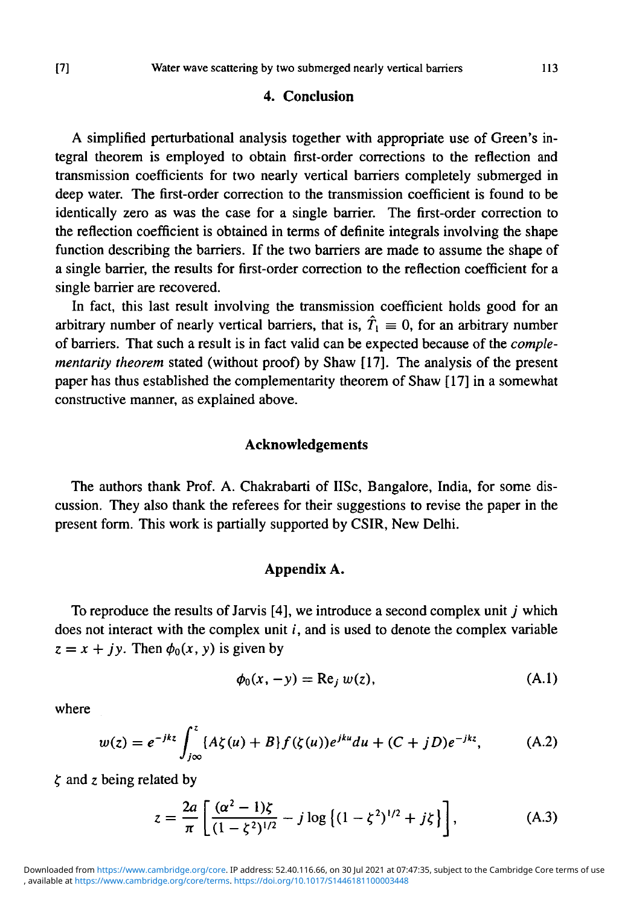#### **4. Conclusion**

A simplified perturbational analysis together with appropriate use of Green's integral theorem is employed to obtain first-order corrections to the reflection and transmission coefficients for two nearly vertical barriers completely submerged in deep water. The first-order correction to the transmission coefficient is found to be identically zero as was the case for a single barrier. The first-order correction to the reflection coefficient is obtained in terms of definite integrals involving the shape function describing the barriers. If the two barriers are made to assume the shape of a single barrier, the results for first-order correction to the reflection coefficient for a single barrier are recovered.

In fact, this last result involving the transmission coefficient holds good for an arbitrary number of nearly vertical barriers, that is,  $\hat{T}_1 \equiv 0$ , for an arbitrary number of barriers. That such a result is in fact valid can be expected because of the *complementarity theorem* stated (without proof) by Shaw [17]. The analysis of the present paper has thus established the complementarity theorem of Shaw [17] in a somewhat constructive manner, as explained above.

#### **Acknowledgements**

The authors thank Prof. A. Chakrabarti of IISc, Bangalore, India, for some discussion. They also thank the referees for their suggestions to revise the paper in the present form. This work is partially supported by CSIR, New Delhi.

### **Appendix A.**

To reproduce the results of Jarvis [4], we introduce a second complex unit *j* which does not interact with the complex unit *i,* and is used to denote the complex variable  $z = x + jy$ . Then  $\phi_0(x, y)$  is given by

$$
\phi_0(x, -y) = \text{Re}_j w(z), \tag{A.1}
$$

where

$$
w(z) = e^{-jkz} \int_{j\infty}^{z} \{A\zeta(u) + B\} f(\zeta(u)) e^{jku} du + (C+jD)e^{-jkz}, \tag{A.2}
$$

 $\zeta$  and z being related by

$$
z = \frac{2a}{\pi} \left[ \frac{(\alpha^2 - 1)\zeta}{(1 - \zeta^2)^{1/2}} - j \log \left\{ (1 - \zeta^2)^{1/2} + j\zeta \right\} \right],
$$
 (A.3)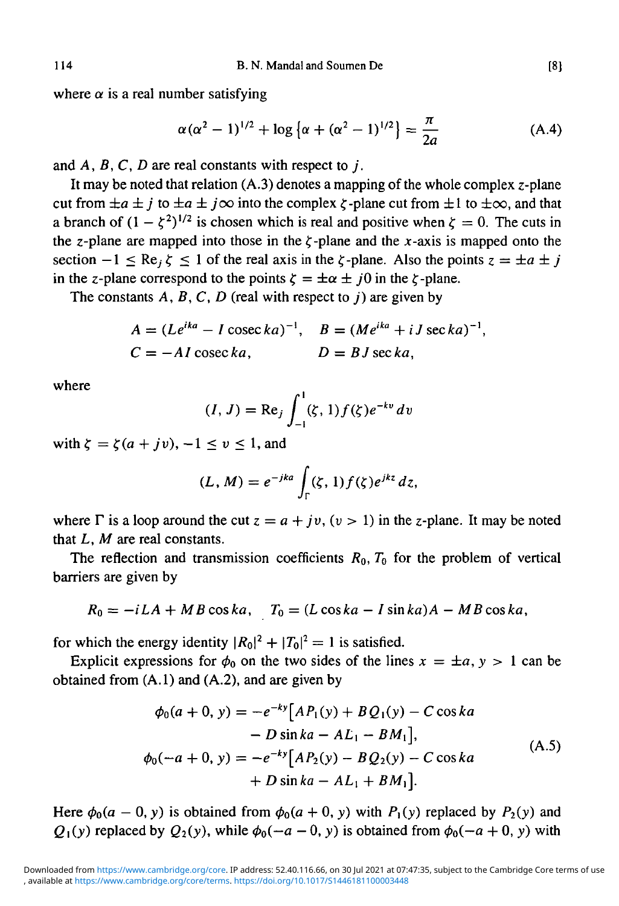where  $\alpha$  is a real number satisfying

$$
\alpha(\alpha^2 - 1)^{1/2} + \log \left\{ \alpha + (\alpha^2 - 1)^{1/2} \right\} = \frac{\pi}{2a}
$$
 (A.4)

and *A, B, C, D* are real constants with respect to *j .*

It may be noted that relation  $(A.3)$  denotes a mapping of the whole complex z-plane cut from  $\pm a \pm j$  to  $\pm a \pm j \infty$  into the complex  $\zeta$ -plane cut from  $\pm 1$  to  $\pm \infty$ , and that a branch of  $(1 - \zeta^2)^{1/2}$  is chosen which is real and positive when  $\zeta = 0$ . The cuts in the z-plane are mapped into those in the  $\zeta$ -plane and the x-axis is mapped onto the section  $-1 \leq Re_i \zeta \leq 1$  of the real axis in the  $\zeta$ -plane. Also the points  $z = \pm a \pm i$ in the z-plane correspond to the points  $\zeta = \pm \alpha \pm i0$  in the  $\zeta$ -plane.

The constants *A, B,C, D* (real with respect to *j)* are given by

$$
A = (Le^{ika} - I \csc ka)^{-1}, \quad B = (Me^{ika} + iJ \sec ka)^{-1},
$$
  

$$
C = -AI \csc ka, \qquad D = BJ \sec ka,
$$

where

$$
(I, J) = \text{Re}_j \int_{-1}^{1} (\zeta, 1) f(\zeta) e^{-kv} dv
$$

with  $\zeta = \zeta(a + jv), -1 \le v \le 1$ , and

$$
(L, M) = e^{-jka} \int_{\Gamma} (\zeta, 1) f(\zeta) e^{jkz} dz,
$$

where  $\Gamma$  is a loop around the cut  $z = a + jv$ ,  $(v > 1)$  in the z-plane. It may be noted that *L, M* are real constants.

The reflection and transmission coefficients  $R_0$ ,  $T_0$  for the problem of vertical barriers are given by

$$
R_0 = -iLA + MB\cos ka, \quad T_0 = (L\cos ka - I\sin ka)A - MB\cos ka,
$$

for which the energy identity  $|R_0|^2 + |T_0|^2 = 1$  is satisfied.

Explicit expressions for  $\phi_0$  on the two sides of the lines  $x = \pm a$ ,  $y > 1$  can be obtained from (A.I) and (A.2), and are given by

$$
\phi_0(a+0, y) = -e^{-ky} [AP_1(y) + BQ_1(y) - C \cos ka \n- D \sin ka - AL_1 - BM_1],
$$
\n
$$
\phi_0(-a+0, y) = -e^{-ky} [AP_2(y) - BQ_2(y) - C \cos ka \n+ D \sin ka - AL_1 + BM_1].
$$
\n(A.5)

Here  $\phi_0(a-0, y)$  is obtained from  $\phi_0(a+0, y)$  with  $P_1(y)$  replaced by  $P_2(y)$  and  $Q_1(y)$  replaced by  $Q_2(y)$ , while  $\phi_0(-a - 0, y)$  is obtained from  $\phi_0(-a + 0, y)$  with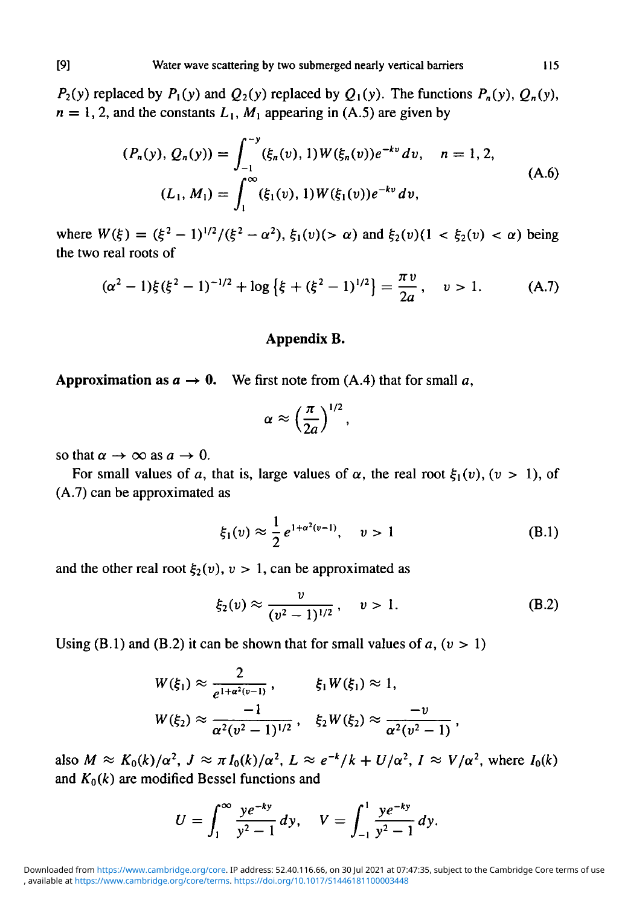$P_2(y)$  replaced by  $P_1(y)$  and  $Q_2(y)$  replaced by  $Q_1(y)$ . The functions  $P_n(y)$ ,  $Q_n(y)$ ,  $n = 1, 2$ , and the constants  $L_1$ ,  $M_1$  appearing in (A.5) are given by

$$
(P_n(y), Q_n(y)) = \int_{-1}^{-y} (\xi_n(v), 1) W(\xi_n(v)) e^{-kv} dv, \quad n = 1, 2,
$$
  

$$
(L_1, M_1) = \int_{1}^{\infty} (\xi_1(v), 1) W(\xi_1(v)) e^{-kv} dv,
$$
 (A.6)

where  $W(\xi) = (\xi^2 - 1)^{1/2} / (\xi^2 - \alpha^2)$ ,  $\xi_1(v)$  ( $> \alpha$ ) and  $\xi_2(v)$  ( $1 < \xi_2(v) < \alpha$ ) being the two real roots of

$$
(\alpha^2 - 1)\xi(\xi^2 - 1)^{-1/2} + \log\left\{\xi + (\xi^2 - 1)^{1/2}\right\} = \frac{\pi v}{2a}, \quad v > 1. \tag{A.7}
$$

#### **Appendix B.**

**Approximation** as  $a \rightarrow 0$ . We first note from (A.4) that for small a,

$$
\alpha \approx \left(\frac{\pi}{2a}\right)^{1/2},
$$

so that  $\alpha \rightarrow \infty$  as  $a \rightarrow 0$ .

For small values of a, that is, large values of  $\alpha$ , the real root  $\xi_1(v)$ ,  $(v > 1)$ , of (A.7) can be approximated as

$$
\xi_1(v) \approx \frac{1}{2} e^{1 + \alpha^2(v-1)}, \quad v > 1 \tag{B.1}
$$

and the other real root  $\xi_2(v)$ ,  $v > 1$ , can be approximated as

$$
\xi_2(v) \approx \frac{v}{(v^2 - 1)^{1/2}}, \quad v > 1.
$$
 (B.2)

Using (B.1) and (B.2) it can be shown that for small values of  $a$ ,  $(v > 1)$ 

$$
W(\xi_1) \approx \frac{2}{e^{1+\alpha^2(\upsilon-1)}}, \qquad \xi_1 W(\xi_1) \approx 1,
$$
  

$$
W(\xi_2) \approx \frac{-1}{\alpha^2(\upsilon^2-1)^{1/2}}, \quad \xi_2 W(\xi_2) \approx \frac{-\upsilon}{\alpha^2(\upsilon^2-1)},
$$

also  $M \approx K_0(k)/\alpha^2$ ,  $J \approx \pi I_0(k)/\alpha^2$ ,  $L \approx e^{-k}/k + U/\alpha^2$ ,  $I \approx V/\alpha^2$ , where  $I_0(k)$ and  $K_0(k)$  are modified Bessel functions and

$$
U=\int_1^\infty \frac{ye^{-ky}}{y^2-1} dy, \quad V=\int_{-1}^1 \frac{ye^{-ky}}{y^2-1} dy.
$$

, available at https://www.cambridge.org/core/terms. https://doi.org/10.1017/S1446181100003448 Downloaded from https://www.cambridge.org/core. IP address: 52.40.116.66, on 30 Jul 2021 at 07:47:35, subject to the Cambridge Core terms of use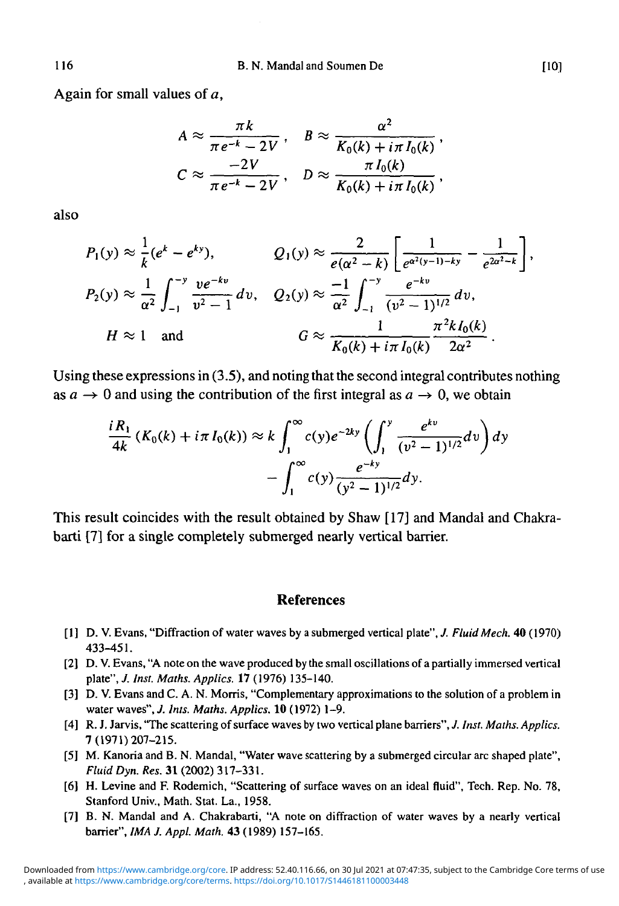Again for small values of  $a$ ,

$$
A \approx \frac{\pi k}{\pi e^{-k} - 2V}, \quad B \approx \frac{\alpha^2}{K_0(k) + i\pi I_0(k)},
$$
  

$$
C \approx \frac{-2V}{\pi e^{-k} - 2V}, \quad D \approx \frac{\pi I_0(k)}{K_0(k) + i\pi I_0(k)},
$$

also

$$
P_1(y) \approx \frac{1}{k}(e^k - e^{ky}), \qquad Q_1(y) \approx \frac{2}{e(\alpha^2 - k)} \left[ \frac{1}{e^{\alpha^2(y-1) - ky}} - \frac{1}{e^{2\alpha^2 - k}} \right],
$$
  
\n
$$
P_2(y) \approx \frac{1}{\alpha^2} \int_{-1}^{-y} \frac{ve^{-ky}}{v^2 - 1} dv, \qquad Q_2(y) \approx \frac{-1}{\alpha^2} \int_{-1}^{-y} \frac{e^{-ky}}{(v^2 - 1)^{1/2}} dv,
$$
  
\n
$$
H \approx 1 \quad \text{and} \qquad G \approx \frac{1}{K_0(k) + i\pi I_0(k)} \frac{\pi^2 k I_0(k)}{2\alpha^2}.
$$

Using these expressions in (3.5), and noting that the second integral contributes nothing as  $a \to 0$  and using the contribution of the first integral as  $a \to 0$ , we obtain

$$
\frac{iR_1}{4k} (K_0(k) + i\pi I_0(k)) \approx k \int_1^{\infty} c(y) e^{-2ky} \left( \int_1^y \frac{e^{kv}}{(v^2 - 1)^{1/2}} dv \right) dy
$$

$$
- \int_1^{\infty} c(y) \frac{e^{-ky}}{(y^2 - 1)^{1/2}} dy.
$$

This result coincides with the result obtained by Shaw [17] and Mandal and Chakrabarti [7] for a single completely submerged nearly vertical barrier.

#### **References**

- [1] D. V. Evans, "Diffraction of water waves by a submerged vertical plate",/ *Fluid Mech.* 40(1970) 433-451.
- [2] D. V. Evans, "A note on the wave produced by the small oscillations of a partially immersed vertical plate", *J. Inst. Maths. Applies.* 17 (1976) 135-140.
- [3] D. V. Evans and C. A. N. Morris, "Complementary approximations to the solution of a problem in water waves", *J. Ints. Maths. Applies.* 10 (1972) 1-9.
- [4] R. J. Jarvis, "The scattering of surface waves by two vertical plane barriers", *J. Inst. Maths. Applies.* 7(1971)207-215.
- [5] M. Kanoria and B. N. Mandal, "Water wave scattering by a submerged circular arc shaped plate", *Fluid Dyn. Res.* 31 (2002) 317-331.
- [6] H. Levine and F. Rodemich, "Scattering of surface waves on an ideal fluid", Tech. Rep. No. 78, Stanford Univ., Math. Stat. La., 1958.
- [7] B. N. Mandal and A. Chakrabarti, "A note on diffraction of water waves by a nearly vertical barrier", *IMA J. Appl. Math.* 43 (1989) 157-165.